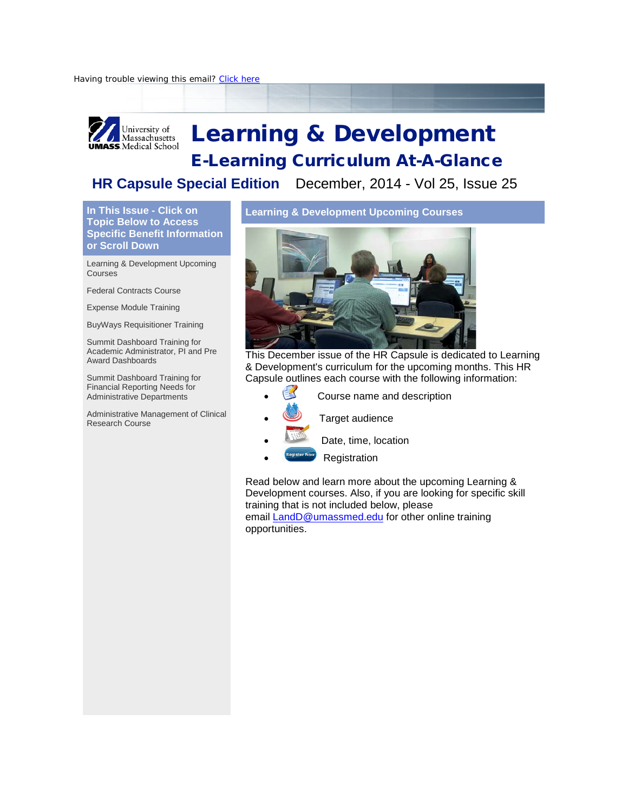

# Learning & Development

## E-Learning Curriculum At-A-Glance

#### **HR Capsule Special Edition** December, 2014 - Vol 25, Issue 25

**In This Issue - Click on Topic Below to Access Specific Benefit Information or Scroll Down** 

[Learning & Development Upcoming](https://ui.constantcontact.com/visualeditor/visual_editor_preview.jsp?agent.uid=1119388768223&format=html&printFrame=true%23LETTER.BLOCK7)  **[Courses](https://ui.constantcontact.com/visualeditor/visual_editor_preview.jsp?agent.uid=1119388768223&format=html&printFrame=true%23LETTER.BLOCK7)** 

[Federal Contracts Course](https://ui.constantcontact.com/visualeditor/visual_editor_preview.jsp?agent.uid=1119388768223&format=html&printFrame=true%23LETTER.BLOCK39)

[Expense Module Training](https://ui.constantcontact.com/visualeditor/visual_editor_preview.jsp?agent.uid=1119388768223&format=html&printFrame=true%23LETTER.BLOCK62)

[BuyWays Requisitioner Training](https://ui.constantcontact.com/visualeditor/visual_editor_preview.jsp?agent.uid=1119388768223&format=html&printFrame=true%23LETTER.BLOCK63)

[Summit Dashboard Training for](https://ui.constantcontact.com/visualeditor/visual_editor_preview.jsp?agent.uid=1119388768223&format=html&printFrame=true%23LETTER.BLOCK64)  [Academic Administrator, PI and Pre](https://ui.constantcontact.com/visualeditor/visual_editor_preview.jsp?agent.uid=1119388768223&format=html&printFrame=true%23LETTER.BLOCK64)  [Award Dashboards](https://ui.constantcontact.com/visualeditor/visual_editor_preview.jsp?agent.uid=1119388768223&format=html&printFrame=true%23LETTER.BLOCK64) 

[Summit Dashboard Training for](https://ui.constantcontact.com/visualeditor/visual_editor_preview.jsp?agent.uid=1119388768223&format=html&printFrame=true%23LETTER.BLOCK66)  [Financial Reporting Needs for](https://ui.constantcontact.com/visualeditor/visual_editor_preview.jsp?agent.uid=1119388768223&format=html&printFrame=true%23LETTER.BLOCK66)  [Administrative Departments](https://ui.constantcontact.com/visualeditor/visual_editor_preview.jsp?agent.uid=1119388768223&format=html&printFrame=true%23LETTER.BLOCK66)

[Administrative Management of Clinical](https://ui.constantcontact.com/visualeditor/visual_editor_preview.jsp?agent.uid=1119388768223&format=html&printFrame=true%23LETTER.BLOCK67)  [Research Course](https://ui.constantcontact.com/visualeditor/visual_editor_preview.jsp?agent.uid=1119388768223&format=html&printFrame=true%23LETTER.BLOCK67)

**Learning & Development Upcoming Courses**



This December issue of the HR Capsule is dedicated to Learning & Development's curriculum for the upcoming months. This HR Capsule outlines each course with the following information:

- Course name and description
	- Target audience
- Date, time, location
- **Registration**

Read below and learn more about the upcoming Learning & Development courses. Also, if you are looking for specific skill training that is not included below, please email **[LandD@umassmed.edu](mailto:LandD@umassmed.edu)** for other online training opportunities.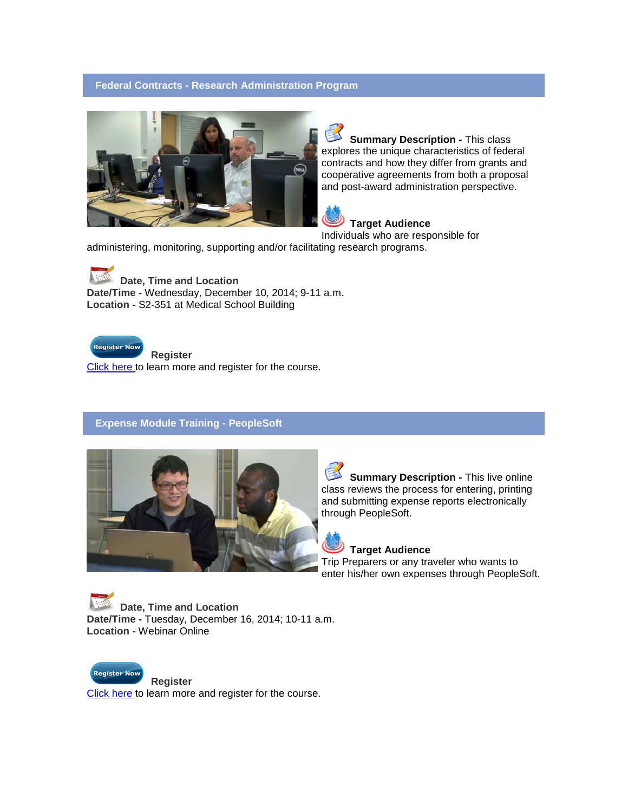#### **Federal Contracts - Research Administration Program**



**Summary Description -** This class explores the unique characteristics of federal contracts and how they differ from grants and cooperative agreements from both a proposal and post-award administration perspective.

 **Target Audience** 

Individuals who are responsible for administering, monitoring, supporting and/or facilitating research programs.

**Date, Time and Location Date/Time -** Wednesday, December 10, 2014; 9-11 a.m. **Location -** S2-351 at Medical School Building



**Register**

[Click here t](http://r20.rs6.net/tn.jsp?e=0018lwHwQO2E0Sh5frhLmfUgtA5Vj70mxJiMEZ8UIxGGVGnJ_ODG-RrCaK1fju6J1396tSxeX5zg-5cGnky_qWyhaNEZkY1dDrcdlZ2SQzl7qHaWErXuDX67ucz2nM3GvDE4aGB-htUHrQaiIxJcSOk9T--UKDCPM2kFukDzwWf12M=)o learn more and register for the course.

#### **Expense Module Training - PeopleSoft**



**Summary Description -** This live online class reviews the process for entering, printing and submitting expense reports electronically through PeopleSoft.

#### **Target Audience**

Trip Preparers or any traveler who wants to enter his/her own expenses through PeopleSoft.

**Date, Time and Location Date/Time -** Tuesday, December 16, 2014; 10-11 a.m. **Location -** Webinar Online



**Register**

[Click here t](http://r20.rs6.net/tn.jsp?e=0018lwHwQO2E0Sh5frhLmfUgtA5Vj70mxJiMEZ8UIxGGVGnJ_ODG-RrCaK1fju6J1396tSxeX5zg-5cGnky_qWyhaNEZkY1dDrcdlZ2SQzl7qHaWErXuDX67ucz2nM3GvDE4aGB-htUHrQaiIxJcSOk9WXXNljJOPdHKtFuevkcOJk=)o learn more and register for the course.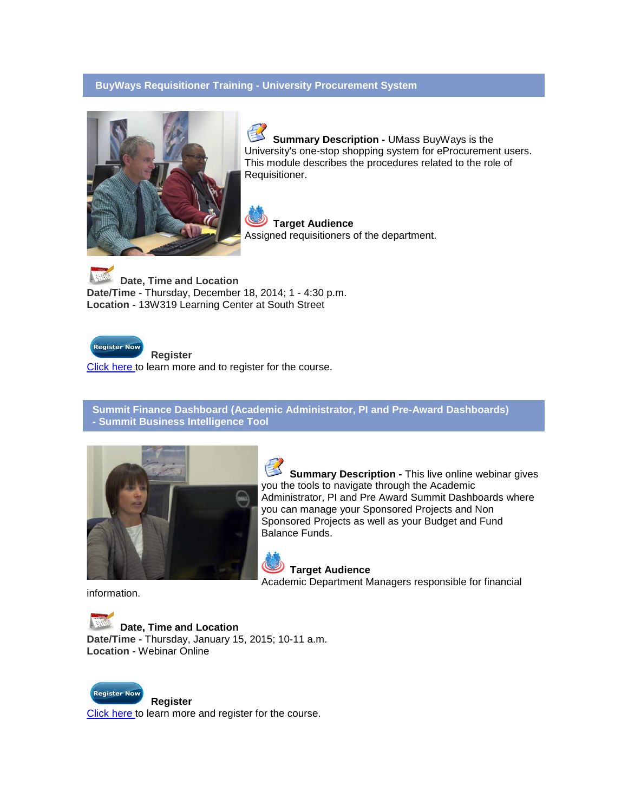#### **BuyWays Requisitioner Training - University Procurement System**



**Summary Description -** UMass BuyWays is the University's one-stop shopping system for eProcurement users. This module describes the procedures related to the role of Requisitioner.

 **Target Audience**  Assigned requisitioners of the department.

**Date, Time and Location Date/Time -** Thursday, December 18, 2014; 1 - 4:30 p.m. **Location -** 13W319 Learning Center at South Street



**Register**

[Click here t](http://r20.rs6.net/tn.jsp?e=0018lwHwQO2E0Sh5frhLmfUgtA5Vj70mxJiMEZ8UIxGGVGnJ_ODG-RrCaK1fju6J1396tSxeX5zg-5cGnky_qWyhaNEZkY1dDrcdlZ2SQzl7qHaWErXuDX67ucz2nM3GvDE4aGB-htUHrQaiIxJcSOk9bW52G98xVxt_Dpzc1wG9HY=)o learn more and to register for the course.

**Summit Finance Dashboard (Academic Administrator, PI and Pre-Award Dashboards) - Summit Business Intelligence Tool**



**Summary Description -** This live online webinar gives you the tools to navigate through the Academic Administrator, PI and Pre Award Summit Dashboards where you can manage your Sponsored Projects and Non Sponsored Projects as well as your Budget and Fund Balance Funds.

 **Target Audience**  Academic Department Managers responsible for financial

information.

**Date, Time and Location Date/Time -** Thursday, January 15, 2015; 10-11 a.m. **Location -** Webinar Online



**Register**

[Click here t](http://r20.rs6.net/tn.jsp?e=0018lwHwQO2E0Sh5frhLmfUgtA5Vj70mxJiMEZ8UIxGGVGnJ_ODG-RrCaK1fju6J1396tSxeX5zg-5cGnky_qWyhaNEZkY1dDrcdlZ2SQzl7qHaWErXuDX67ucz2nM3GvDE4aGB-htUHrQaiIxJcSOk9b9hJ_fldBnPYyW1UXjjhBQ=)o learn more and register for the course.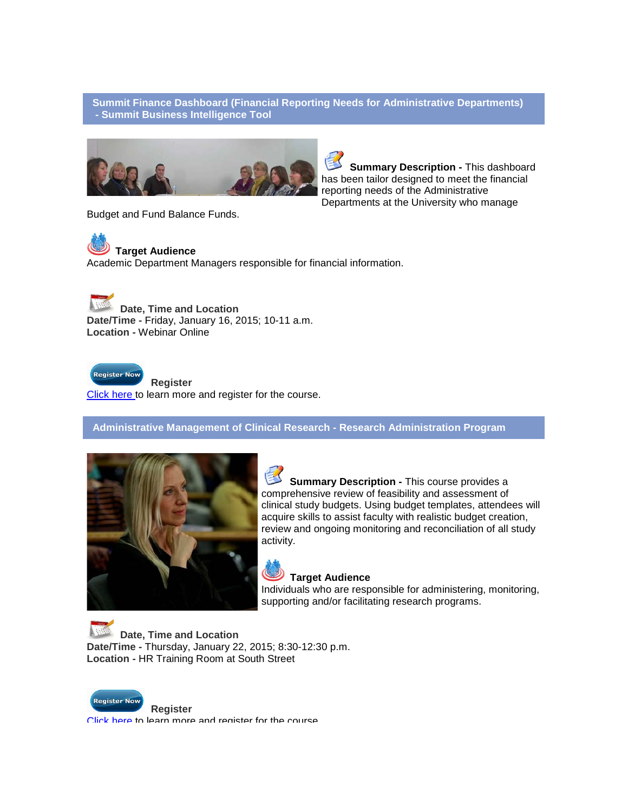#### **Summit Finance Dashboard (Financial Reporting Needs for Administrative Departments) - Summit Business Intelligence Tool**



**Summary Description -** This dashboard has been tailor designed to meet the financial reporting needs of the Administrative Departments at the University who manage

Budget and Fund Balance Funds.

### **Target Audience**

Academic Department Managers responsible for financial information.

**Date, Time and Location Date/Time -** Friday, January 16, 2015; 10-11 a.m. **Location -** Webinar Online



**Register**

[Click here t](http://r20.rs6.net/tn.jsp?e=0018lwHwQO2E0Sh5frhLmfUgtA5Vj70mxJiMEZ8UIxGGVGnJ_ODG-RrCaK1fju6J1396tSxeX5zg-5cGnky_qWyhaNEZkY1dDrcdlZ2SQzl7qHaWErXuDX67ucz2nM3GvDE4aGB-htUHrQaiIxJcSOk9b9hJ_fldBnPmuMrOX3tR5Y=)o learn more and register for the course.

**Administrative Management of Clinical Research - Research Administration Program**



**Summary Description -** This course provides a comprehensive review of feasibility and assessment of clinical study budgets. Using budget templates, attendees will acquire skills to assist faculty with realistic budget creation, review and ongoing monitoring and reconciliation of all study activity.

#### **Target Audience**

Individuals who are responsible for administering, monitoring, supporting and/or facilitating research programs.

**Date, Time and Location Date/Time -** Thursday, January 22, 2015; 8:30-12:30 p.m. **Location -** HR Training Room at South Street



**Register**

[Click here t](http://r20.rs6.net/tn.jsp?e=0018lwHwQO2E0Sh5frhLmfUgtA5Vj70mxJiMEZ8UIxGGVGnJ_ODG-RrCaK1fju6J1396tSxeX5zg-5cGnky_qWyhaNEZkY1dDrcdlZ2SQzl7qHaWErXuDX67ucz2nM3GvDE4aGB-htUHrQaiIxJcSOk9bEx7ud4txb2lXwBsV8bNQo=)o learn more and register for the course.